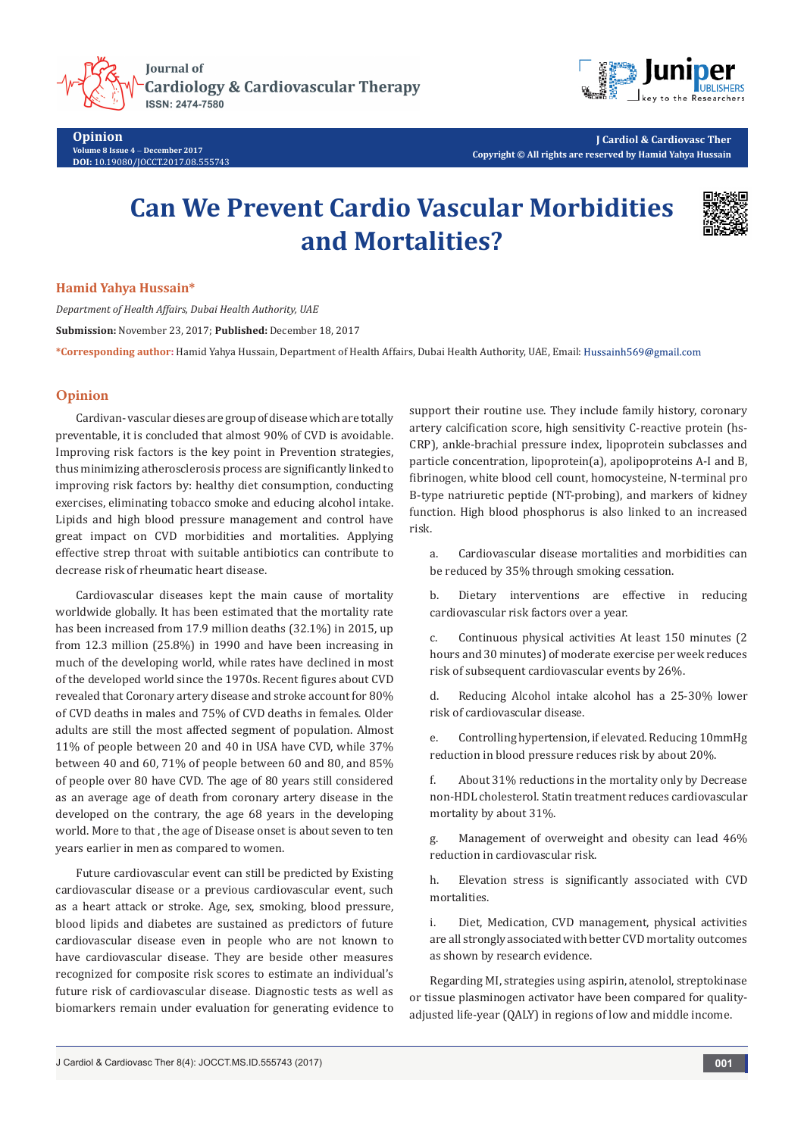

**Opinion Volume 8 Issue 4** - **December 2017 DOI:** [10.19080/JOCCT.2017.08.555743](http://dx.doi.org/10.19080/JOCCT.2017.08.555743)



**J Cardiol & Cardiovasc Ther Copyright © All rights are reserved by Hamid Yahya Hussain**

## **Can We Prevent Cardio Vascular Morbidities and Mortalities?**



## **Hamid Yahya Hussain\***

*Department of Health Affairs, Dubai Health Authority, UAE* **Submission:** November 23, 2017; **Published:** December 18, 2017 **\*Corresponding author:** Hamid Yahya Hussain, Department of Health Affairs, Dubai Health Authority, UAE, Email:

## **Opinion**

Cardivan- vascular dieses are group of disease which are totally preventable, it is concluded that almost 90% of CVD is avoidable. Improving risk factors is the key point in Prevention strategies, thus minimizing atherosclerosis process are significantly linked to improving risk factors by: healthy diet consumption, conducting exercises, eliminating tobacco smoke and educing alcohol intake. Lipids and high blood pressure management and control have great impact on CVD morbidities and mortalities. Applying effective strep throat with suitable antibiotics can contribute to decrease risk of rheumatic heart disease.

Cardiovascular diseases kept the main cause of mortality worldwide globally. It has been estimated that the mortality rate has been increased from 17.9 million deaths (32.1%) in 2015, up from 12.3 million (25.8%) in 1990 and have been increasing in much of the developing world, while rates have declined in most of the developed world since the 1970s. Recent figures about CVD revealed that Coronary artery disease and stroke account for 80% of CVD deaths in males and 75% of CVD deaths in females. Older adults are still the most affected segment of population. Almost 11% of people between 20 and 40 in USA have CVD, while 37% between 40 and 60, 71% of people between 60 and 80, and 85% of people over 80 have CVD. The age of 80 years still considered as an average age of death from coronary artery disease in the developed on the contrary, the age 68 years in the developing world. More to that , the age of Disease onset is about seven to ten years earlier in men as compared to women.

Future cardiovascular event can still be predicted by Existing cardiovascular disease or a previous cardiovascular event, such as a heart attack or stroke. Age, sex, smoking, blood pressure, blood lipids and diabetes are sustained as predictors of future cardiovascular disease even in people who are not known to have cardiovascular disease. They are beside other measures recognized for composite risk scores to estimate an individual's future risk of cardiovascular disease. Diagnostic tests as well as biomarkers remain under evaluation for generating evidence to

support their routine use. They include family history, coronary artery calcification score, high sensitivity C-reactive protein (hs-CRP), ankle-brachial pressure index, lipoprotein subclasses and particle concentration, lipoprotein(a), apolipoproteins A-I and B, fibrinogen, white blood cell count, homocysteine, N-terminal pro B-type natriuretic peptide (NT-probing), and markers of kidney function. High blood phosphorus is also linked to an increased risk.

a. Cardiovascular disease mortalities and morbidities can be reduced by 35% through smoking cessation.

b. Dietary interventions are effective in reducing cardiovascular risk factors over a year.

c. Continuous physical activities At least 150 minutes (2 hours and 30 minutes) of moderate exercise per week reduces risk of subsequent cardiovascular events by 26%.

d. Reducing Alcohol intake alcohol has a 25-30% lower risk of cardiovascular disease.

e. Controlling hypertension, if elevated. Reducing 10mmHg reduction in blood pressure reduces risk by about 20%.

f. About 31% reductions in the mortality only by Decrease non-HDL cholesterol. Statin treatment reduces cardiovascular mortality by about 31%.

g. Management of overweight and obesity can lead 46% reduction in cardiovascular risk.

h. Elevation stress is significantly associated with CVD mortalities.

i. Diet, Medication, CVD management, physical activities are all strongly associated with better CVD mortality outcomes as shown by research evidence.

Regarding MI, strategies using aspirin, atenolol, streptokinase or tissue plasminogen activator have been compared for qualityadjusted life-year (QALY) in regions of low and middle income.